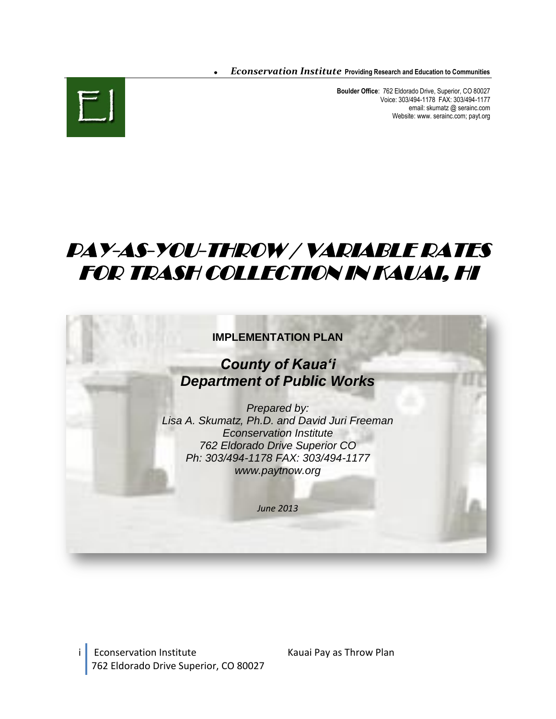*Econservation Institute* **Providing Research and Education to Communities** 



**Boulder Office**: 762 Eldorado Drive, Superior, CO 80027 Voice: 303/494-1178 FAX: 303/494-1177 email: skumatz @ serainc.com Website: www. serainc.com; payt.org

# PAY-AS-YOU-THROW / VARIABLE RATES FOR TRASH COLLECTION IN KAUAI, HI



i Econservation Institute Kauai Pay as Throw Plan 762 Eldorado Drive Superior, CO 80027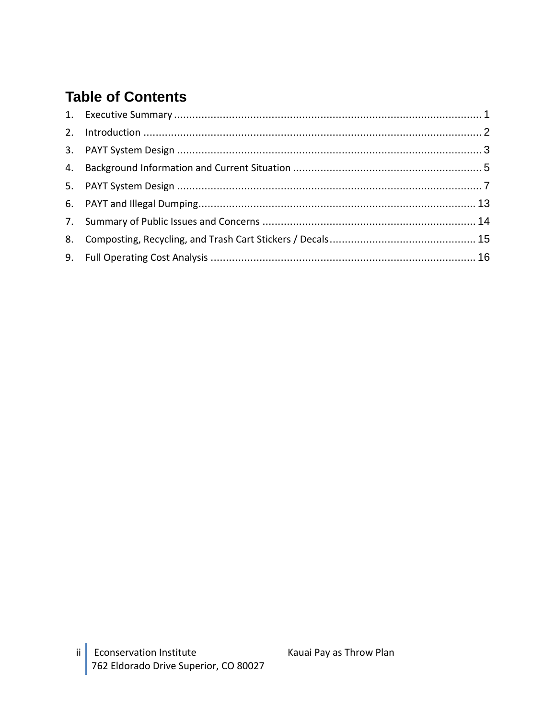# **Table of Contents**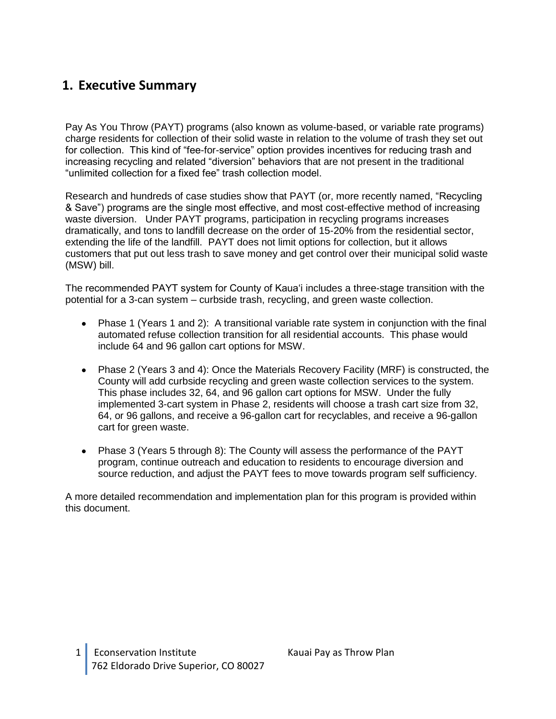### <span id="page-2-0"></span>**1. Executive Summary**

Pay As You Throw (PAYT) programs (also known as volume-based, or variable rate programs) charge residents for collection of their solid waste in relation to the volume of trash they set out for collection. This kind of "fee-for-service" option provides incentives for reducing trash and increasing recycling and related "diversion" behaviors that are not present in the traditional "unlimited collection for a fixed fee" trash collection model.

Research and hundreds of case studies show that PAYT (or, more recently named, "Recycling & Save") programs are the single most effective, and most cost-effective method of increasing waste diversion. Under PAYT programs, participation in recycling programs increases dramatically, and tons to landfill decrease on the order of 15-20% from the residential sector, extending the life of the landfill. PAYT does not limit options for collection, but it allows customers that put out less trash to save money and get control over their municipal solid waste (MSW) bill.

The recommended PAYT system for County of Kaua'i includes a three-stage transition with the potential for a 3-can system – curbside trash, recycling, and green waste collection.

- Phase 1 (Years 1 and 2): A transitional variable rate system in conjunction with the final automated refuse collection transition for all residential accounts. This phase would include 64 and 96 gallon cart options for MSW.
- Phase 2 (Years 3 and 4): Once the Materials Recovery Facility (MRF) is constructed, the County will add curbside recycling and green waste collection services to the system. This phase includes 32, 64, and 96 gallon cart options for MSW. Under the fully implemented 3-cart system in Phase 2, residents will choose a trash cart size from 32, 64, or 96 gallons, and receive a 96-gallon cart for recyclables, and receive a 96-gallon cart for green waste.
- Phase 3 (Years 5 through 8): The County will assess the performance of the PAYT program, continue outreach and education to residents to encourage diversion and source reduction, and adjust the PAYT fees to move towards program self sufficiency.

A more detailed recommendation and implementation plan for this program is provided within this document.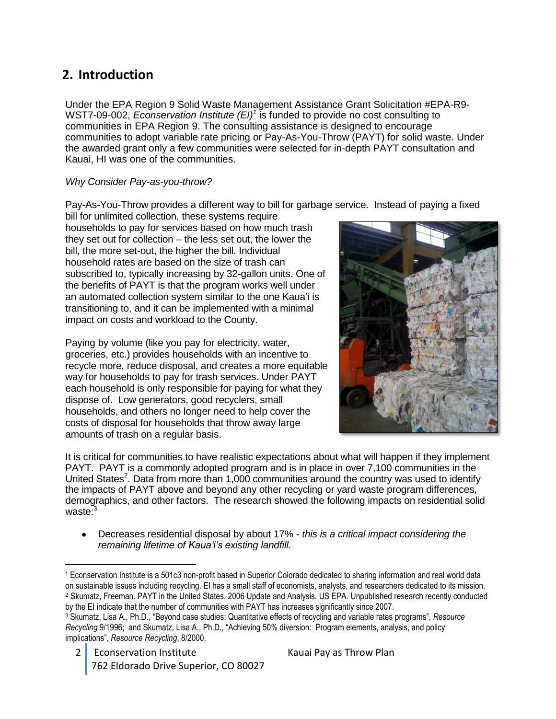# <span id="page-3-0"></span>**2. Introduction**

Under the EPA Region 9 Solid Waste Management Assistance Grant Solicitation #EPA-R9- WST7-09-002, *Econservation Institute (EI)<sup>1</sup>* is funded to provide no cost consulting to communities in EPA Region 9. The consulting assistance is designed to encourage communities to adopt variable rate pricing or Pay-As-You-Throw (PAYT) for solid waste. Under the awarded grant only a few communities were selected for in-depth PAYT consultation and Kauai, HI was one of the communities.

#### *Why Consider Pay-as-you-throw?*

Pay-As-You-Throw provides a different way to bill for garbage service. Instead of paying a fixed

bill for unlimited collection, these systems require households to pay for services based on how much trash they set out for collection – the less set out, the lower the bill, the more set-out, the higher the bill. Individual household rates are based on the size of trash can subscribed to, typically increasing by 32-gallon units. One of the benefits of PAYT is that the program works well under an automated collection system similar to the one Kaua'i is transitioning to, and it can be implemented with a minimal impact on costs and workload to the County.

Paying by volume (like you pay for electricity, water, groceries, etc.) provides households with an incentive to recycle more, reduce disposal, and creates a more equitable way for households to pay for trash services. Under PAYT each household is only responsible for paying for what they dispose of. Low generators, good recyclers, small households, and others no longer need to help cover the costs of disposal for households that throw away large amounts of trash on a regular basis.



It is critical for communities to have realistic expectations about what will happen if they implement PAYT. PAYT is a commonly adopted program and is in place in over 7,100 communities in the United States<sup>2</sup>. Data from more than 1,000 communities around the country was used to identify the impacts of PAYT above and beyond any other recycling or yard waste program differences, demographics, and other factors. The research showed the following impacts on residential solid waste:<sup>3</sup>

Decreases residential disposal by about 17% - *this is a critical impact considering the remaining lifetime of Kaua'i's existing landfill.*

 $\overline{a}$ 

<sup>1</sup> Econservation Institute is a 501c3 non-profit based in Superior Colorado dedicated to sharing information and real world data on sustainable issues including recycling. EI has a small staff of economists, analysts, and researchers dedicated to its mission. <sup>2</sup> Skumatz, Freeman. PAYT in the United States. 2006 Update and Analysis. US EPA. Unpublished research recently conducted by the EI indicate that the number of communities with PAYT has increases significantly since 2007.

<sup>3</sup> Skumatz, Lisa A., Ph.D., "Beyond case studies: Quantitative effects of recycling and variable rates programs", *Resource Recycling* 9/1996; and Skumatz, Lisa A., Ph.D., "Achieving 50% diversion: Program elements, analysis, and policy implications", *Resource Recycling*, 8/2000.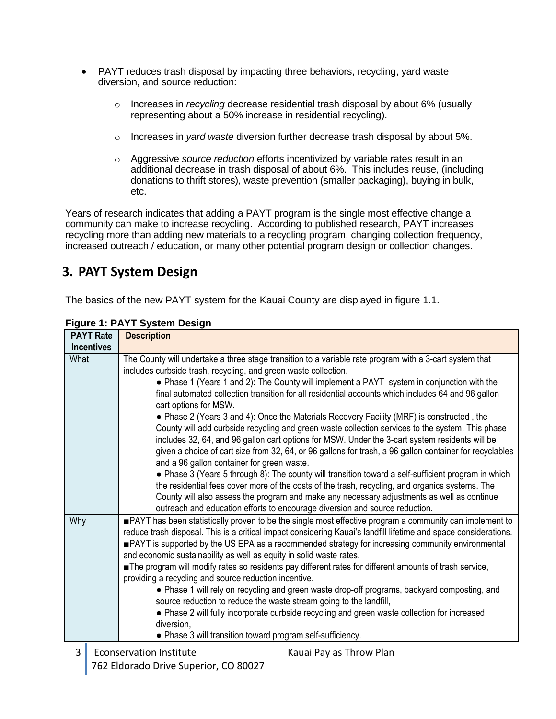- PAYT reduces trash disposal by impacting three behaviors, recycling, yard waste diversion, and source reduction:
	- o Increases in *recycling* decrease residential trash disposal by about 6% (usually representing about a 50% increase in residential recycling).
	- o Increases in *yard waste* diversion further decrease trash disposal by about 5%.
	- o Aggressive *source reduction* efforts incentivized by variable rates result in an additional decrease in trash disposal of about 6%. This includes reuse, (including donations to thrift stores), waste prevention (smaller packaging), buying in bulk, etc.

Years of research indicates that adding a PAYT program is the single most effective change a community can make to increase recycling. According to published research, PAYT increases recycling more than adding new materials to a recycling program, changing collection frequency, increased outreach / education, or many other potential program design or collection changes.

# <span id="page-4-0"></span>**3. PAYT System Design**

The basics of the new PAYT system for the Kauai County are displayed in figure 1.1.

| <b>PAYT Rate</b>                                                                                                                                                                                                              |                   | <b>Description</b>                                                                                                                                                                                                                                                                                                                                                                                                                                                                                                                                                                                                                                                                                                                                                                                                                                                                                                                                                                                                                |  |  |  |
|-------------------------------------------------------------------------------------------------------------------------------------------------------------------------------------------------------------------------------|-------------------|-----------------------------------------------------------------------------------------------------------------------------------------------------------------------------------------------------------------------------------------------------------------------------------------------------------------------------------------------------------------------------------------------------------------------------------------------------------------------------------------------------------------------------------------------------------------------------------------------------------------------------------------------------------------------------------------------------------------------------------------------------------------------------------------------------------------------------------------------------------------------------------------------------------------------------------------------------------------------------------------------------------------------------------|--|--|--|
|                                                                                                                                                                                                                               | <b>Incentives</b> |                                                                                                                                                                                                                                                                                                                                                                                                                                                                                                                                                                                                                                                                                                                                                                                                                                                                                                                                                                                                                                   |  |  |  |
| What<br>includes curbside trash, recycling, and green waste collection.<br>cart options for MSW.<br>and a 96 gallon container for green waste.<br>outreach and education efforts to encourage diversion and source reduction. |                   | The County will undertake a three stage transition to a variable rate program with a 3-cart system that<br>• Phase 1 (Years 1 and 2): The County will implement a PAYT system in conjunction with the<br>final automated collection transition for all residential accounts which includes 64 and 96 gallon<br>• Phase 2 (Years 3 and 4): Once the Materials Recovery Facility (MRF) is constructed, the<br>County will add curbside recycling and green waste collection services to the system. This phase<br>includes 32, 64, and 96 gallon cart options for MSW. Under the 3-cart system residents will be<br>given a choice of cart size from 32, 64, or 96 gallons for trash, a 96 gallon container for recyclables<br>• Phase 3 (Years 5 through 8): The county will transition toward a self-sufficient program in which<br>the residential fees cover more of the costs of the trash, recycling, and organics systems. The<br>County will also assess the program and make any necessary adjustments as well as continue |  |  |  |
| Why                                                                                                                                                                                                                           |                   | PAYT has been statistically proven to be the single most effective program a community can implement to<br>reduce trash disposal. This is a critical impact considering Kauai's landfill lifetime and space considerations.<br><b>PAYT</b> is supported by the US EPA as a recommended strategy for increasing community environmental<br>and economic sustainability as well as equity in solid waste rates.<br>The program will modify rates so residents pay different rates for different amounts of trash service,<br>providing a recycling and source reduction incentive.<br>• Phase 1 will rely on recycling and green waste drop-off programs, backyard composting, and<br>source reduction to reduce the waste stream going to the landfill,<br>• Phase 2 will fully incorporate curbside recycling and green waste collection for increased<br>diversion,<br>• Phase 3 will transition toward program self-sufficiency.                                                                                                |  |  |  |
| 3                                                                                                                                                                                                                             |                   | <b>Econservation Institute</b><br>Kauai Pay as Throw Plan                                                                                                                                                                                                                                                                                                                                                                                                                                                                                                                                                                                                                                                                                                                                                                                                                                                                                                                                                                         |  |  |  |

#### **Figure 1: PAYT System Design**

762 Eldorado Drive Superior, CO 80027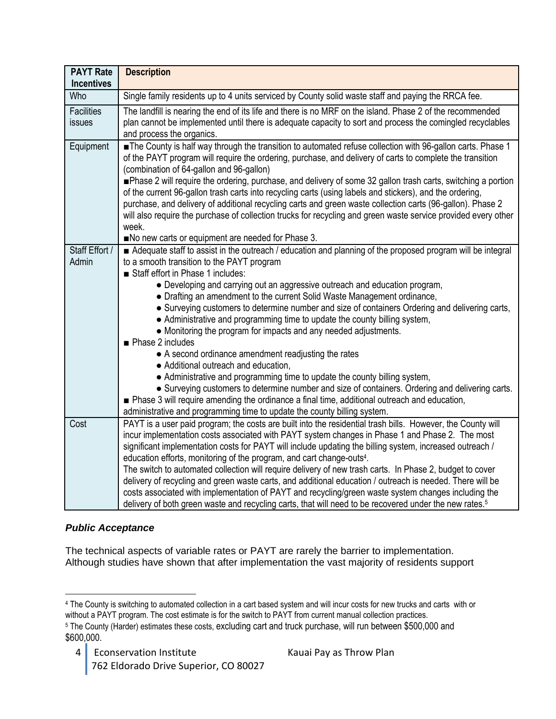| <b>PAYT Rate</b><br><b>Incentives</b> | <b>Description</b>                                                                                                                                                                                                                                                                                                                                                                                                                                                                                                                                                                                                                                                                                                                                                                                                                                                    |
|---------------------------------------|-----------------------------------------------------------------------------------------------------------------------------------------------------------------------------------------------------------------------------------------------------------------------------------------------------------------------------------------------------------------------------------------------------------------------------------------------------------------------------------------------------------------------------------------------------------------------------------------------------------------------------------------------------------------------------------------------------------------------------------------------------------------------------------------------------------------------------------------------------------------------|
| Who                                   | Single family residents up to 4 units serviced by County solid waste staff and paying the RRCA fee.                                                                                                                                                                                                                                                                                                                                                                                                                                                                                                                                                                                                                                                                                                                                                                   |
| <b>Facilities</b><br>issues           | The landfill is nearing the end of its life and there is no MRF on the island. Phase 2 of the recommended<br>plan cannot be implemented until there is adequate capacity to sort and process the comingled recyclables<br>and process the organics.                                                                                                                                                                                                                                                                                                                                                                                                                                                                                                                                                                                                                   |
| Equipment                             | The County is half way through the transition to automated refuse collection with 96-gallon carts. Phase 1<br>of the PAYT program will require the ordering, purchase, and delivery of carts to complete the transition<br>(combination of 64-gallon and 96-gallon)<br>Phase 2 will require the ordering, purchase, and delivery of some 32 gallon trash carts, switching a portion<br>of the current 96-gallon trash carts into recycling carts (using labels and stickers), and the ordering,<br>purchase, and delivery of additional recycling carts and green waste collection carts (96-gallon). Phase 2<br>will also require the purchase of collection trucks for recycling and green waste service provided every other<br>week.<br>No new carts or equipment are needed for Phase 3.                                                                         |
| Staff Effort /                        | Adequate staff to assist in the outreach / education and planning of the proposed program will be integral                                                                                                                                                                                                                                                                                                                                                                                                                                                                                                                                                                                                                                                                                                                                                            |
| Admin                                 | to a smooth transition to the PAYT program<br>Staff effort in Phase 1 includes:<br>• Developing and carrying out an aggressive outreach and education program,<br>• Drafting an amendment to the current Solid Waste Management ordinance,<br>• Surveying customers to determine number and size of containers Ordering and delivering carts,<br>• Administrative and programming time to update the county billing system,<br>• Monitoring the program for impacts and any needed adjustments.<br>Phase 2 includes<br>• A second ordinance amendment readjusting the rates<br>• Additional outreach and education,                                                                                                                                                                                                                                                   |
|                                       | • Administrative and programming time to update the county billing system,<br>• Surveying customers to determine number and size of containers. Ordering and delivering carts.<br>■ Phase 3 will require amending the ordinance a final time, additional outreach and education,<br>administrative and programming time to update the county billing system.                                                                                                                                                                                                                                                                                                                                                                                                                                                                                                          |
| Cost                                  | PAYT is a user paid program; the costs are built into the residential trash bills. However, the County will<br>incur implementation costs associated with PAYT system changes in Phase 1 and Phase 2. The most<br>significant implementation costs for PAYT will include updating the billing system, increased outreach /<br>education efforts, monitoring of the program, and cart change-outs <sup>4</sup> .<br>The switch to automated collection will require delivery of new trash carts. In Phase 2, budget to cover<br>delivery of recycling and green waste carts, and additional education / outreach is needed. There will be<br>costs associated with implementation of PAYT and recycling/green waste system changes including the<br>delivery of both green waste and recycling carts, that will need to be recovered under the new rates. <sup>5</sup> |

#### *Public Acceptance*

The technical aspects of variable rates or PAYT are rarely the barrier to implementation. Although studies have shown that after implementation the vast majority of residents support

 $\overline{a}$ <sup>4</sup> The County is switching to automated collection in a cart based system and will incur costs for new trucks and carts with or without a PAYT program. The cost estimate is for the switch to PAYT from current manual collection practices. <sup>5</sup> The County (Harder) estimates these costs, excluding cart and truck purchase, will run between \$500,000 and \$600,000.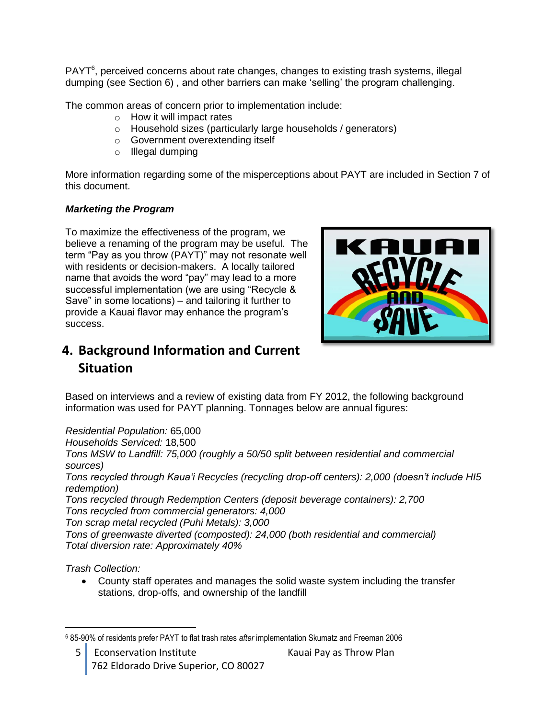PAYT<sup>6</sup>, perceived concerns about rate changes, changes to existing trash systems, illegal dumping (see Section 6) , and other barriers can make 'selling' the program challenging.

The common areas of concern prior to implementation include:

- o How it will impact rates
- o Household sizes (particularly large households / generators)
- o Government overextending itself
- o Illegal dumping

More information regarding some of the misperceptions about PAYT are included in Section 7 of this document.

#### *Marketing the Program*

To maximize the effectiveness of the program, we believe a renaming of the program may be useful. The term "Pay as you throw (PAYT)" may not resonate well with residents or decision-makers. A locally tailored name that avoids the word "pay" may lead to a more successful implementation (we are using "Recycle & Save" in some locations) – and tailoring it further to provide a Kauai flavor may enhance the program's success.



# <span id="page-6-0"></span>**4. Background Information and Current Situation**

Based on interviews and a review of existing data from FY 2012, the following background information was used for PAYT planning. Tonnages below are annual figures:

*Residential Population:* 65,000

*Households Serviced:* 18,500

*Tons MSW to Landfill: 75,000 (roughly a 50/50 split between residential and commercial sources)*

*Tons recycled through Kaua'i Recycles (recycling drop-off centers): 2,000 (doesn't include HI5 redemption)*

*Tons recycled through Redemption Centers (deposit beverage containers): 2,700 Tons recycled from commercial generators: 4,000*

*Ton scrap metal recycled (Puhi Metals): 3,000* 

*Tons of greenwaste diverted (composted): 24,000 (both residential and commercial) Total diversion rate: Approximately 40%*

*Trash Collection:*

County staff operates and manages the solid waste system including the transfer stations, drop-offs, and ownership of the landfill

 $\overline{a}$ <sup>6</sup> 85-90% of residents prefer PAYT to flat trash rates *after* implementation Skumatz and Freeman 2006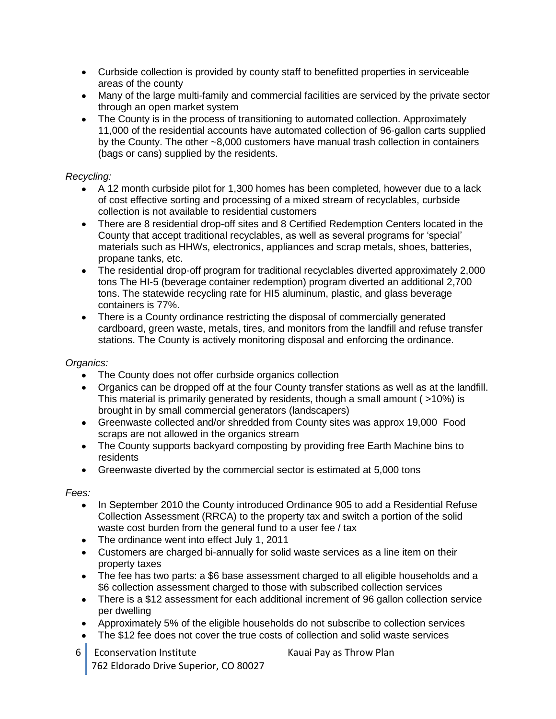- Curbside collection is provided by county staff to benefitted properties in serviceable areas of the county
- Many of the large multi-family and commercial facilities are serviced by the private sector through an open market system
- The County is in the process of transitioning to automated collection. Approximately 11,000 of the residential accounts have automated collection of 96-gallon carts supplied by the County. The other ~8,000 customers have manual trash collection in containers (bags or cans) supplied by the residents.

#### *Recycling:*

- A 12 month curbside pilot for 1,300 homes has been completed, however due to a lack  $\bullet$ of cost effective sorting and processing of a mixed stream of recyclables, curbside collection is not available to residential customers
- There are 8 residential drop-off sites and 8 Certified Redemption Centers located in the County that accept traditional recyclables, as well as several programs for 'special' materials such as HHWs, electronics, appliances and scrap metals, shoes, batteries, propane tanks, etc.
- The residential drop-off program for traditional recyclables diverted approximately 2,000 tons The HI-5 (beverage container redemption) program diverted an additional 2,700 tons. The statewide recycling rate for HI5 aluminum, plastic, and glass beverage containers is 77%.
- There is a County ordinance restricting the disposal of commercially generated cardboard, green waste, metals, tires, and monitors from the landfill and refuse transfer stations. The County is actively monitoring disposal and enforcing the ordinance.

#### *Organics:*

- The County does not offer curbside organics collection  $\bullet$
- Organics can be dropped off at the four County transfer stations as well as at the landfill. This material is primarily generated by residents, though a small amount ( >10%) is brought in by small commercial generators (landscapers)
- Greenwaste collected and/or shredded from County sites was approx 19,000 Food scraps are not allowed in the organics stream
- The County supports backyard composting by providing free Earth Machine bins to residents
- Greenwaste diverted by the commercial sector is estimated at 5,000 tons

#### *Fees:*

- In September 2010 the County introduced Ordinance 905 to add a Residential Refuse  $\bullet$ Collection Assessment (RRCA) to the property tax and switch a portion of the solid waste cost burden from the general fund to a user fee / tax
- The ordinance went into effect July 1, 2011
- Customers are charged bi-annually for solid waste services as a line item on their property taxes
- The fee has two parts: a \$6 base assessment charged to all eligible households and a \$6 collection assessment charged to those with subscribed collection services
- There is a \$12 assessment for each additional increment of 96 gallon collection service per dwelling
- Approximately 5% of the eligible households do not subscribe to collection services
- The \$12 fee does not cover the true costs of collection and solid waste services
- 6 Econservation Institute Kauai Pay as Throw Plan 762 Eldorado Drive Superior, CO 80027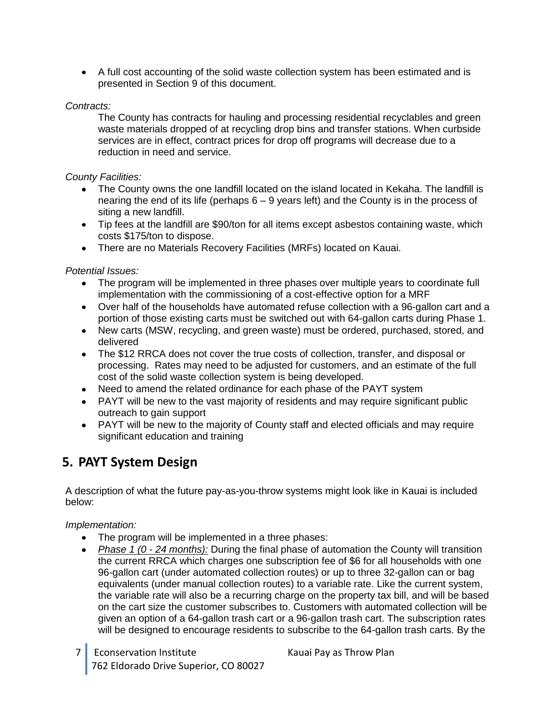A full cost accounting of the solid waste collection system has been estimated and is presented in Section 9 of this document.

#### *Contracts:*

The County has contracts for hauling and processing residential recyclables and green waste materials dropped of at recycling drop bins and transfer stations. When curbside services are in effect, contract prices for drop off programs will decrease due to a reduction in need and service.

#### *County Facilities:*

- The County owns the one landfill located on the island located in Kekaha. The landfill is nearing the end of its life (perhaps 6 – 9 years left) and the County is in the process of siting a new landfill.
- Tip fees at the landfill are \$90/ton for all items except asbestos containing waste, which costs \$175/ton to dispose.
- There are no Materials Recovery Facilities (MRFs) located on Kauai.

#### *Potential Issues:*

- The program will be implemented in three phases over multiple years to coordinate full implementation with the commissioning of a cost-effective option for a MRF
- Over half of the households have automated refuse collection with a 96-gallon cart and a portion of those existing carts must be switched out with 64-gallon carts during Phase 1.
- New carts (MSW, recycling, and green waste) must be ordered, purchased, stored, and delivered
- The \$12 RRCA does not cover the true costs of collection, transfer, and disposal or processing. Rates may need to be adjusted for customers, and an estimate of the full cost of the solid waste collection system is being developed.
- Need to amend the related ordinance for each phase of the PAYT system
- PAYT will be new to the vast majority of residents and may require significant public outreach to gain support
- PAYT will be new to the majority of County staff and elected officials and may require significant education and training

## <span id="page-8-0"></span>**5. PAYT System Design**

A description of what the future pay-as-you-throw systems might look like in Kauai is included below:

#### *Implementation:*

- The program will be implemented in a three phases:
- *Phase 1 (0 - 24 months):* During the final phase of automation the County will transition  $\bullet$ the current RRCA which charges one subscription fee of \$6 for all households with one 96-gallon cart (under automated collection routes) or up to three 32-gallon can or bag equivalents (under manual collection routes) to a variable rate. Like the current system, the variable rate will also be a recurring charge on the property tax bill, and will be based on the cart size the customer subscribes to. Customers with automated collection will be given an option of a 64-gallon trash cart or a 96-gallon trash cart. The subscription rates will be designed to encourage residents to subscribe to the 64-gallon trash carts. By the
- 7 Econservation Institute Kauai Pay as Throw Plan 762 Eldorado Drive Superior, CO 80027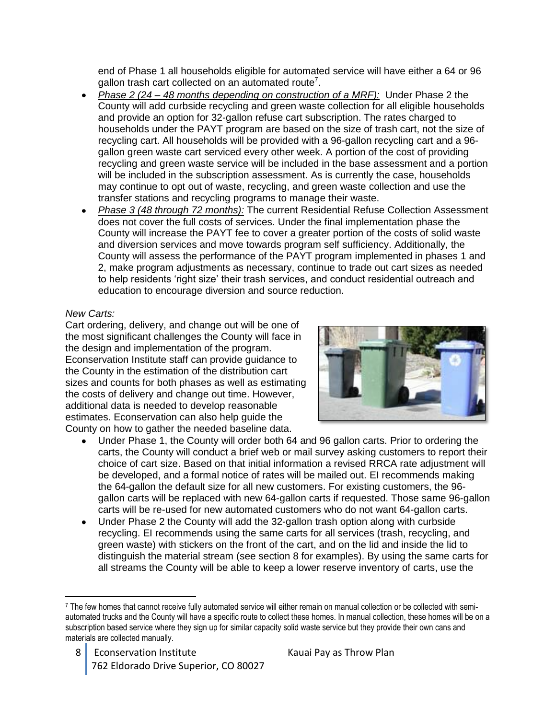end of Phase 1 all households eligible for automated service will have either a 64 or 96 gallon trash cart collected on an automated route<sup>7</sup>.

- *Phase 2 (24 – 48 months depending on construction of a MRF):* Under Phase 2 the County will add curbside recycling and green waste collection for all eligible households and provide an option for 32-gallon refuse cart subscription. The rates charged to households under the PAYT program are based on the size of trash cart, not the size of recycling cart. All households will be provided with a 96-gallon recycling cart and a 96 gallon green waste cart serviced every other week. A portion of the cost of providing recycling and green waste service will be included in the base assessment and a portion will be included in the subscription assessment. As is currently the case, households may continue to opt out of waste, recycling, and green waste collection and use the transfer stations and recycling programs to manage their waste.
- *Phase 3 (48 through 72 months):* The current Residential Refuse Collection Assessment does not cover the full costs of services. Under the final implementation phase the County will increase the PAYT fee to cover a greater portion of the costs of solid waste and diversion services and move towards program self sufficiency. Additionally, the County will assess the performance of the PAYT program implemented in phases 1 and 2, make program adjustments as necessary, continue to trade out cart sizes as needed to help residents 'right size' their trash services, and conduct residential outreach and education to encourage diversion and source reduction.

#### *New Carts:*

 $\overline{a}$ 

Cart ordering, delivery, and change out will be one of the most significant challenges the County will face in the design and implementation of the program. Econservation Institute staff can provide guidance to the County in the estimation of the distribution cart sizes and counts for both phases as well as estimating the costs of delivery and change out time. However, additional data is needed to develop reasonable estimates. Econservation can also help guide the County on how to gather the needed baseline data.



- Under Phase 1, the County will order both 64 and 96 gallon carts. Prior to ordering the carts, the County will conduct a brief web or mail survey asking customers to report their choice of cart size. Based on that initial information a revised RRCA rate adjustment will be developed, and a formal notice of rates will be mailed out. EI recommends making the 64-gallon the default size for all new customers. For existing customers, the 96 gallon carts will be replaced with new 64-gallon carts if requested. Those same 96-gallon carts will be re-used for new automated customers who do not want 64-gallon carts.
- Under Phase 2 the County will add the 32-gallon trash option along with curbside recycling. EI recommends using the same carts for all services (trash, recycling, and green waste) with stickers on the front of the cart, and on the lid and inside the lid to distinguish the material stream (see section 8 for examples). By using the same carts for all streams the County will be able to keep a lower reserve inventory of carts, use the

<sup>7</sup> The few homes that cannot receive fully automated service will either remain on manual collection or be collected with semiautomated trucks and the County will have a specific route to collect these homes. In manual collection, these homes will be on a subscription based service where they sign up for similar capacity solid waste service but they provide their own cans and materials are collected manually.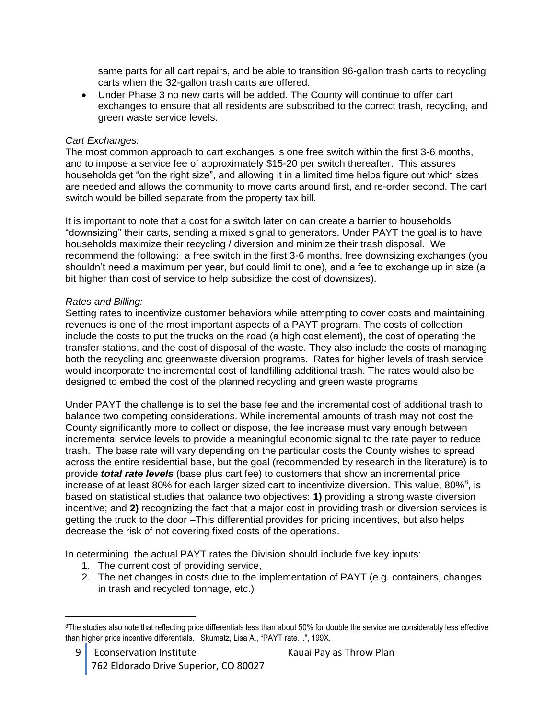same parts for all cart repairs, and be able to transition 96-gallon trash carts to recycling carts when the 32-gallon trash carts are offered.

Under Phase 3 no new carts will be added. The County will continue to offer cart exchanges to ensure that all residents are subscribed to the correct trash, recycling, and green waste service levels.

#### *Cart Exchanges:*

The most common approach to cart exchanges is one free switch within the first 3-6 months, and to impose a service fee of approximately \$15-20 per switch thereafter. This assures households get "on the right size", and allowing it in a limited time helps figure out which sizes are needed and allows the community to move carts around first, and re-order second. The cart switch would be billed separate from the property tax bill.

It is important to note that a cost for a switch later on can create a barrier to households "downsizing" their carts, sending a mixed signal to generators. Under PAYT the goal is to have households maximize their recycling / diversion and minimize their trash disposal. We recommend the following: a free switch in the first 3-6 months, free downsizing exchanges (you shouldn't need a maximum per year, but could limit to one), and a fee to exchange up in size (a bit higher than cost of service to help subsidize the cost of downsizes).

#### *Rates and Billing:*

 $\overline{a}$ 

Setting rates to incentivize customer behaviors while attempting to cover costs and maintaining revenues is one of the most important aspects of a PAYT program. The costs of collection include the costs to put the trucks on the road (a high cost element), the cost of operating the transfer stations, and the cost of disposal of the waste. They also include the costs of managing both the recycling and greenwaste diversion programs. Rates for higher levels of trash service would incorporate the incremental cost of landfilling additional trash. The rates would also be designed to embed the cost of the planned recycling and green waste programs

Under PAYT the challenge is to set the base fee and the incremental cost of additional trash to balance two competing considerations. While incremental amounts of trash may not cost the County significantly more to collect or dispose, the fee increase must vary enough between incremental service levels to provide a meaningful economic signal to the rate payer to reduce trash. The base rate will vary depending on the particular costs the County wishes to spread across the entire residential base, but the goal (recommended by research in the literature) is to provide *total rate levels* (base plus cart fee) to customers that show an incremental price increase of at least 80% for each larger sized cart to incentivize diversion. This value, 80%<sup>8</sup>, is based on statistical studies that balance two objectives: **1)** providing a strong waste diversion incentive; and **2)** recognizing the fact that a major cost in providing trash or diversion services is getting the truck to the door –This differential provides for pricing incentives, but also helps decrease the risk of not covering fixed costs of the operations.

In determining the actual PAYT rates the Division should include five key inputs:

- 1. The current cost of providing service,
- 2. The net changes in costs due to the implementation of PAYT (e.g. containers, changes in trash and recycled tonnage, etc.)

<sup>&</sup>lt;sup>8</sup>The studies also note that reflecting price differentials less than about 50% for double the service are considerably less effective than higher price incentive differentials. Skumatz, Lisa A., "PAYT rate…", 199X.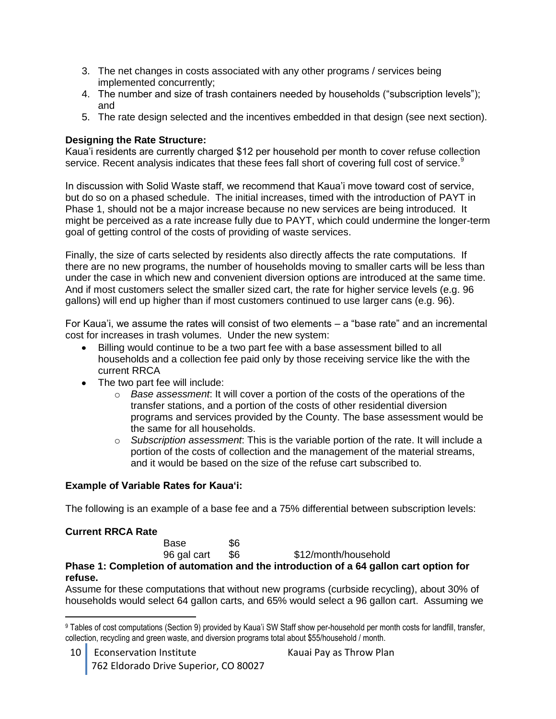- 3. The net changes in costs associated with any other programs / services being implemented concurrently;
- 4. The number and size of trash containers needed by households ("subscription levels"); and
- 5. The rate design selected and the incentives embedded in that design (see next section).

#### **Designing the Rate Structure:**

Kaua'i residents are currently charged \$12 per household per month to cover refuse collection service. Recent analysis indicates that these fees fall short of covering full cost of service.<sup>9</sup>

In discussion with Solid Waste staff, we recommend that Kaua'i move toward cost of service, but do so on a phased schedule. The initial increases, timed with the introduction of PAYT in Phase 1, should not be a major increase because no new services are being introduced. It might be perceived as a rate increase fully due to PAYT, which could undermine the longer-term goal of getting control of the costs of providing of waste services.

Finally, the size of carts selected by residents also directly affects the rate computations. If there are no new programs, the number of households moving to smaller carts will be less than under the case in which new and convenient diversion options are introduced at the same time. And if most customers select the smaller sized cart, the rate for higher service levels (e.g. 96 gallons) will end up higher than if most customers continued to use larger cans (e.g. 96).

For Kaua'i, we assume the rates will consist of two elements – a "base rate" and an incremental cost for increases in trash volumes. Under the new system:

- Billing would continue to be a two part fee with a base assessment billed to all  $\bullet$ households and a collection fee paid only by those receiving service like the with the current RRCA
- The two part fee will include:
	- o *Base assessment*: It will cover a portion of the costs of the operations of the transfer stations, and a portion of the costs of other residential diversion programs and services provided by the County. The base assessment would be the same for all households.
	- o *Subscription assessment*: This is the variable portion of the rate. It will include a portion of the costs of collection and the management of the material streams, and it would be based on the size of the refuse cart subscribed to.

#### **Example of Variable Rates for Kaua'i:**

The following is an example of a base fee and a 75% differential between subscription levels:

#### **Current RRCA Rate**

|             |     | Phase 1: Completion of automation and the introduction of a 64 gallon cart option for |
|-------------|-----|---------------------------------------------------------------------------------------|
| 96 gal cart | -S6 | \$12/month/household                                                                  |
| Base        | \$6 |                                                                                       |

#### **refuse.**

Assume for these computations that without new programs (curbside recycling), about 30% of households would select 64 gallon carts, and 65% would select a 96 gallon cart. Assuming we

 $\overline{a}$ <sup>9</sup> Tables of cost computations (Section 9) provided by Kaua'i SW Staff show per-household per month costs for landfill, transfer, collection, recycling and green waste, and diversion programs total about \$55/household / month.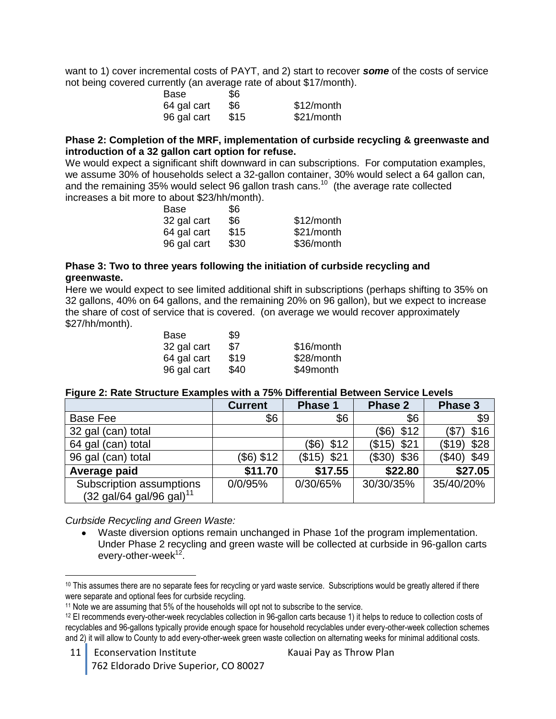want to 1) cover incremental costs of PAYT, and 2) start to recover *some* of the costs of service not being covered currently (an average rate of about \$17/month).

| Base        | \$6  |            |
|-------------|------|------------|
| 64 gal cart | \$6  | \$12/month |
| 96 gal cart | \$15 | \$21/month |

#### **Phase 2: Completion of the MRF, implementation of curbside recycling & greenwaste and introduction of a 32 gallon cart option for refuse.**

We would expect a significant shift downward in can subscriptions. For computation examples, we assume 30% of households select a 32-gallon container, 30% would select a 64 gallon can, and the remaining 35% would select 96 gallon trash cans.<sup>10</sup> (the average rate collected increases a bit more to about \$23/hh/month).

| Base        | \$6  |            |
|-------------|------|------------|
| 32 gal cart | \$6  | \$12/month |
| 64 gal cart | \$15 | \$21/month |
| 96 gal cart | \$30 | \$36/month |

#### **Phase 3: Two to three years following the initiation of curbside recycling and greenwaste.**

Here we would expect to see limited additional shift in subscriptions (perhaps shifting to 35% on 32 gallons, 40% on 64 gallons, and the remaining 20% on 96 gallon), but we expect to increase the share of cost of service that is covered. (on average we would recover approximately \$27/hh/month).

| Base        | \$9  |            |
|-------------|------|------------|
| 32 gal cart | \$7  | \$16/month |
| 64 gal cart | \$19 | \$28/month |
| 96 gal cart | \$40 | \$49month  |

#### **Figure 2: Rate Structure Examples with a 75% Differential Between Service Levels**

|                                                                                   | <b>Current</b> | Phase 1       | Phase 2        | Phase 3        |
|-----------------------------------------------------------------------------------|----------------|---------------|----------------|----------------|
| Base Fee                                                                          | \$6            | \$6           | \$6            | \$9            |
| 32 gal (can) total                                                                |                |               | (\$6)<br>\$12  | \$16           |
| 64 gal (can) total                                                                |                | \$12<br>(\$6) | \$21<br>(\$15) | \$28<br>(\$19) |
| 96 gal (can) total                                                                | (\$6) \$12     | $($15)$ \$21  | \$36<br>(\$30) | \$49<br>(\$40) |
| Average paid                                                                      | \$11.70        | \$17.55       | \$22.80        | \$27.05        |
| Subscription assumptions<br>$(32 \text{ gal}/64 \text{ gal}/96 \text{ gal})^{11}$ | 0/0/95%        | 0/30/65%      | 30/30/35%      | 35/40/20%      |

*Curbside Recycling and Green Waste:*

Waste diversion options remain unchanged in Phase 1of the program implementation. Under Phase 2 recycling and green waste will be collected at curbside in 96-gallon carts every-other-week<sup>12</sup>.

 $\overline{a}$ <sup>10</sup> This assumes there are no separate fees for recycling or yard waste service. Subscriptions would be greatly altered if there were separate and optional fees for curbside recycling.

<sup>&</sup>lt;sup>11</sup> Note we are assuming that 5% of the households will opt not to subscribe to the service.

<sup>12</sup> EI recommends every-other-week recyclables collection in 96-gallon carts because 1) it helps to reduce to collection costs of recyclables and 96-gallons typically provide enough space for household recyclables under every-other-week collection schemes and 2) it will allow to County to add every-other-week green waste collection on alternating weeks for minimal additional costs.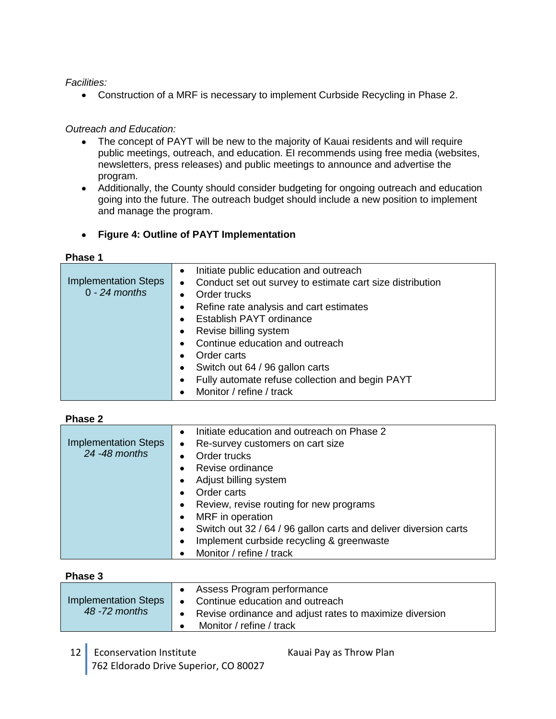#### *Facilities:*

Construction of a MRF is necessary to implement Curbside Recycling in Phase 2.

#### *Outreach and Education:*

- The concept of PAYT will be new to the majority of Kauai residents and will require  $\bullet$ public meetings, outreach, and education. EI recommends using free media (websites, newsletters, press releases) and public meetings to announce and advertise the program.
- Additionally, the County should consider budgeting for ongoing outreach and education going into the future. The outreach budget should include a new position to implement and manage the program.

#### **Figure 4: Outline of PAYT Implementation**

#### **Phase 1**

| <b>Implementation Steps</b><br>$0 - 24$ months | Initiate public education and outreach<br>$\bullet$<br>Conduct set out survey to estimate cart size distribution<br>$\bullet$<br>Order trucks<br>$\bullet$ |
|------------------------------------------------|------------------------------------------------------------------------------------------------------------------------------------------------------------|
|                                                | Refine rate analysis and cart estimates<br>$\bullet$                                                                                                       |
|                                                | Establish PAYT ordinance<br>$\bullet$                                                                                                                      |
|                                                | Revise billing system<br>$\bullet$                                                                                                                         |
|                                                | Continue education and outreach<br>$\bullet$                                                                                                               |
|                                                | Order carts<br>$\bullet$                                                                                                                                   |
|                                                | Switch out 64 / 96 gallon carts<br>$\bullet$                                                                                                               |
|                                                | Fully automate refuse collection and begin PAYT<br>$\bullet$                                                                                               |
|                                                | Monitor / refine / track<br>$\bullet$                                                                                                                      |

#### **Phase 2**

| <b>Implementation Steps</b> | Initiate education and outreach on Phase 2<br>$\bullet$<br>Re-survey customers on cart size<br>$\bullet$ |
|-----------------------------|----------------------------------------------------------------------------------------------------------|
| 24 - 48 months              | Order trucks<br>$\bullet$                                                                                |
|                             | Revise ordinance<br>$\bullet$                                                                            |
|                             | Adjust billing system<br>$\bullet$                                                                       |
|                             | Order carts<br>$\bullet$                                                                                 |
|                             | Review, revise routing for new programs<br>$\bullet$                                                     |
|                             | MRF in operation<br>$\bullet$                                                                            |
|                             | Switch out 32 / 64 / 96 gallon carts and deliver diversion carts<br>$\bullet$                            |
|                             | Implement curbside recycling & greenwaste<br>$\bullet$                                                   |
|                             | Monitor / refine / track                                                                                 |

#### **Phase 3**

| Implementation Steps | $\bullet$ | • Assess Program performance<br>Continue education and outreach                     |
|----------------------|-----------|-------------------------------------------------------------------------------------|
| 48 -72 months        |           | Revise ordinance and adjust rates to maximize diversion<br>Monitor / refine / track |
|                      |           |                                                                                     |

12 Econservation Institute Kauai Pay as Throw Plan 762 Eldorado Drive Superior, CO 80027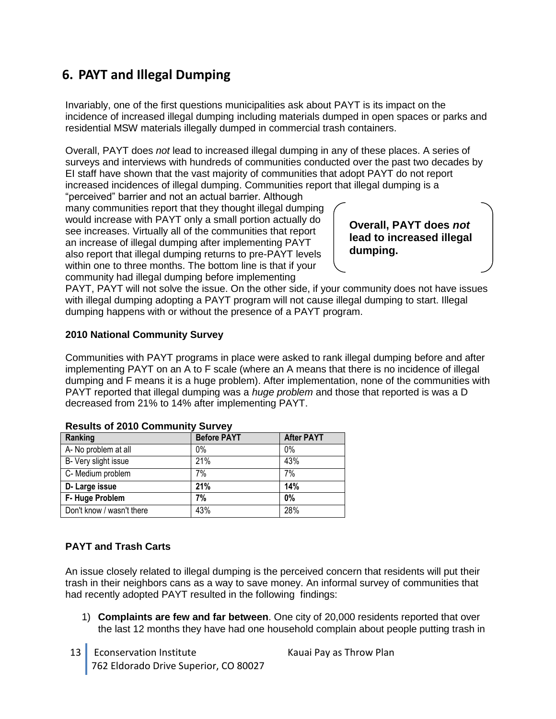# <span id="page-14-0"></span>**6. PAYT and Illegal Dumping**

Invariably, one of the first questions municipalities ask about PAYT is its impact on the incidence of increased illegal dumping including materials dumped in open spaces or parks and residential MSW materials illegally dumped in commercial trash containers.

Overall, PAYT does *not* lead to increased illegal dumping in any of these places. A series of surveys and interviews with hundreds of communities conducted over the past two decades by EI staff have shown that the vast majority of communities that adopt PAYT do not report increased incidences of illegal dumping. Communities report that illegal dumping is a

"perceived" barrier and not an actual barrier. Although many communities report that they thought illegal dumping would increase with PAYT only a small portion actually do see increases. Virtually all of the communities that report an increase of illegal dumping after implementing PAYT also report that illegal dumping returns to pre-PAYT levels within one to three months. The bottom line is that if your community had illegal dumping before implementing

**Overall, PAYT does** *not*  **lead to increased illegal dumping.**

PAYT, PAYT will not solve the issue. On the other side, if your community does not have issues with illegal dumping adopting a PAYT program will not cause illegal dumping to start. Illegal dumping happens with or without the presence of a PAYT program.

#### **2010 National Community Survey**

Communities with PAYT programs in place were asked to rank illegal dumping before and after implementing PAYT on an A to F scale (where an A means that there is no incidence of illegal dumping and F means it is a huge problem). After implementation, none of the communities with PAYT reported that illegal dumping was a *huge problem* and those that reported is was a D decreased from 21% to 14% after implementing PAYT.

| Ranking                   | <b>Before PAYT</b> | <b>After PAYT</b> |
|---------------------------|--------------------|-------------------|
| A- No problem at all      | $0\%$              | 0%                |
| B- Very slight issue      | 21%                | 43%               |
| C- Medium problem         | 7%                 | 7%                |
| D-Large issue             | 21%                | 14%               |
| F-Huge Problem            | 7%                 | 0%                |
| Don't know / wasn't there | 43%                | 28%               |

#### **Results of 2010 Community Survey**

#### **PAYT and Trash Carts**

An issue closely related to illegal dumping is the perceived concern that residents will put their trash in their neighbors cans as a way to save money. An informal survey of communities that had recently adopted PAYT resulted in the following findings:

- 1) **Complaints are few and far between**. One city of 20,000 residents reported that over the last 12 months they have had one household complain about people putting trash in
- 13 | Econservation Institute Kauai Pay as Throw Plan 762 Eldorado Drive Superior, CO 80027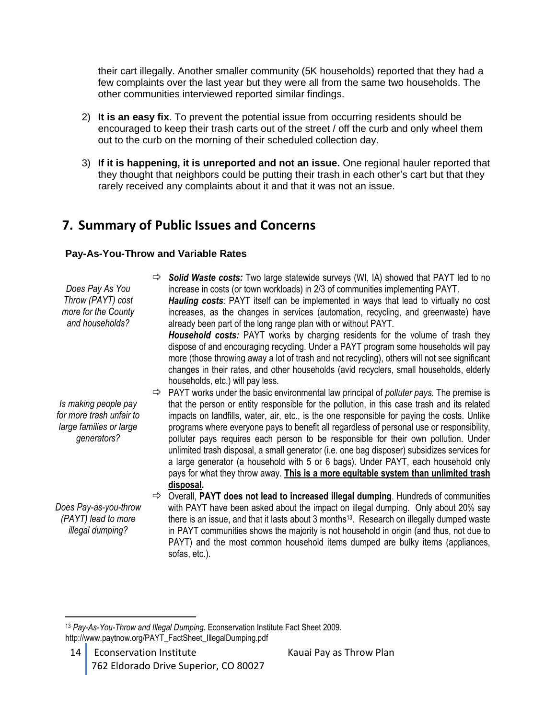their cart illegally. Another smaller community (5K households) reported that they had a few complaints over the last year but they were all from the same two households. The other communities interviewed reported similar findings.

- 2) **It is an easy fix**. To prevent the potential issue from occurring residents should be encouraged to keep their trash carts out of the street / off the curb and only wheel them out to the curb on the morning of their scheduled collection day.
- 3) **If it is happening, it is unreported and not an issue.** One regional hauler reported that they thought that neighbors could be putting their trash in each other's cart but that they rarely received any complaints about it and that it was not an issue.

## <span id="page-15-0"></span>**7. Summary of Public Issues and Concerns**

#### **Pay-As-You-Throw and Variable Rates**

*Does Pay As You Throw (PAYT) cost more for the County and households? Solid Waste costs:* Two large statewide surveys (WI, IA) showed that PAYT led to no increase in costs (or town workloads) in 2/3 of communities implementing PAYT. *Hauling costs:* PAYT itself can be implemented in ways that lead to virtually no cost increases, as the changes in services (automation, recycling, and greenwaste) have already been part of the long range plan with or without PAYT. *Household costs:* PAYT works by charging residents for the volume of trash they dispose of and encouraging recycling. Under a PAYT program some households will pay more (those throwing away a lot of trash and not recycling), others will not see significant changes in their rates, and other households (avid recyclers, small households, elderly households, etc.) will pay less. *Is making people pay for more trash unfair to large families or large generators?*  $\Rightarrow$  PAYT works under the basic environmental law principal of *polluter pays*. The premise is that the person or entity responsible for the pollution, in this case trash and its related impacts on landfills, water, air, etc., is the one responsible for paying the costs. Unlike programs where everyone pays to benefit all regardless of personal use or responsibility, polluter pays requires each person to be responsible for their own pollution. Under unlimited trash disposal, a small generator (i.e. one bag disposer) subsidizes services for a large generator (a household with 5 or 6 bags). Under PAYT, each household only pays for what they throw away. **This is a more equitable system than unlimited trash disposal.** *Does Pay-as-you-throw (PAYT) lead to more illegal dumping?* Overall, **PAYT does not lead to increased illegal dumping**. Hundreds of communities with PAYT have been asked about the impact on illegal dumping. Only about 20% say there is an issue, and that it lasts about 3 months<sup>13</sup>. Research on illegally dumped waste in PAYT communities shows the majority is not household in origin (and thus, not due to PAYT) and the most common household items dumped are bulky items (appliances, sofas, etc.).

14 Econservation Institute Kauai Pay as Throw Plan 762 Eldorado Drive Superior, CO 80027

 $\overline{a}$ <sup>13</sup> *Pay-As-You-Throw and Illegal Dumping.* Econservation Institute Fact Sheet 2009. http://www.paytnow.org/PAYT\_FactSheet\_IllegalDumping.pdf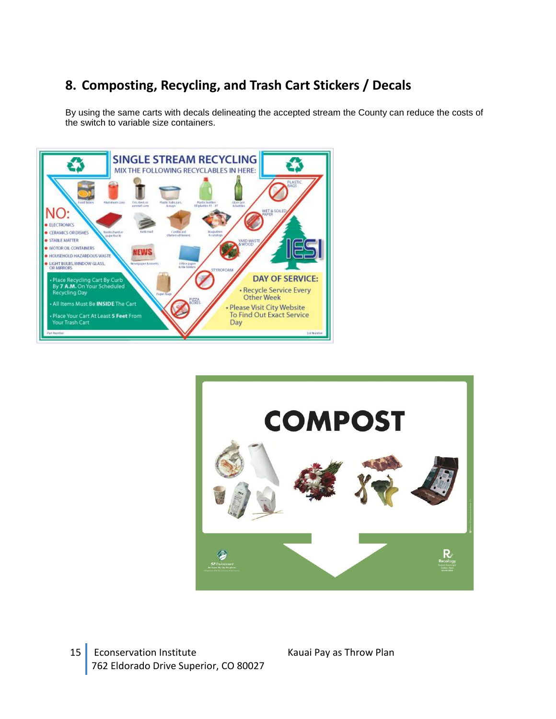# <span id="page-16-0"></span>**8. Composting, Recycling, and Trash Cart Stickers / Decals**

By using the same carts with decals delineating the accepted stream the County can reduce the costs of the switch to variable size containers.





15 Econservation Institute Kauai Pay as Throw Plan 762 Eldorado Drive Superior, CO 80027